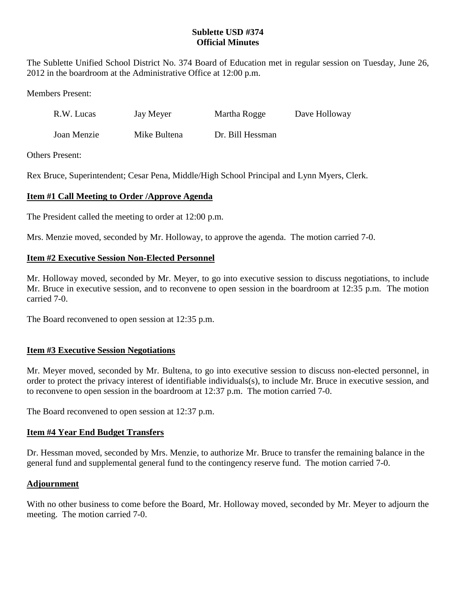## **Sublette USD #374 Official Minutes**

The Sublette Unified School District No. 374 Board of Education met in regular session on Tuesday, June 26, 2012 in the boardroom at the Administrative Office at 12:00 p.m.

Members Present:

| R.W. Lucas | Jay Meyer | Martha Rogge | Dave Holloway |
|------------|-----------|--------------|---------------|
|------------|-----------|--------------|---------------|

Joan Menzie Mike Bultena Dr. Bill Hessman

Others Present:

Rex Bruce, Superintendent; Cesar Pena, Middle/High School Principal and Lynn Myers, Clerk.

# **Item #1 Call Meeting to Order /Approve Agenda**

The President called the meeting to order at 12:00 p.m.

Mrs. Menzie moved, seconded by Mr. Holloway, to approve the agenda. The motion carried 7-0.

#### **Item #2 Executive Session Non-Elected Personnel**

Mr. Holloway moved, seconded by Mr. Meyer, to go into executive session to discuss negotiations, to include Mr. Bruce in executive session, and to reconvene to open session in the boardroom at 12:35 p.m. The motion carried 7-0.

The Board reconvened to open session at 12:35 p.m.

## **Item #3 Executive Session Negotiations**

Mr. Meyer moved, seconded by Mr. Bultena, to go into executive session to discuss non-elected personnel, in order to protect the privacy interest of identifiable individuals(s), to include Mr. Bruce in executive session, and to reconvene to open session in the boardroom at 12:37 p.m. The motion carried 7-0.

The Board reconvened to open session at 12:37 p.m.

## **Item #4 Year End Budget Transfers**

Dr. Hessman moved, seconded by Mrs. Menzie, to authorize Mr. Bruce to transfer the remaining balance in the general fund and supplemental general fund to the contingency reserve fund. The motion carried 7-0.

## **Adjournment**

With no other business to come before the Board, Mr. Holloway moved, seconded by Mr. Meyer to adjourn the meeting. The motion carried 7-0.